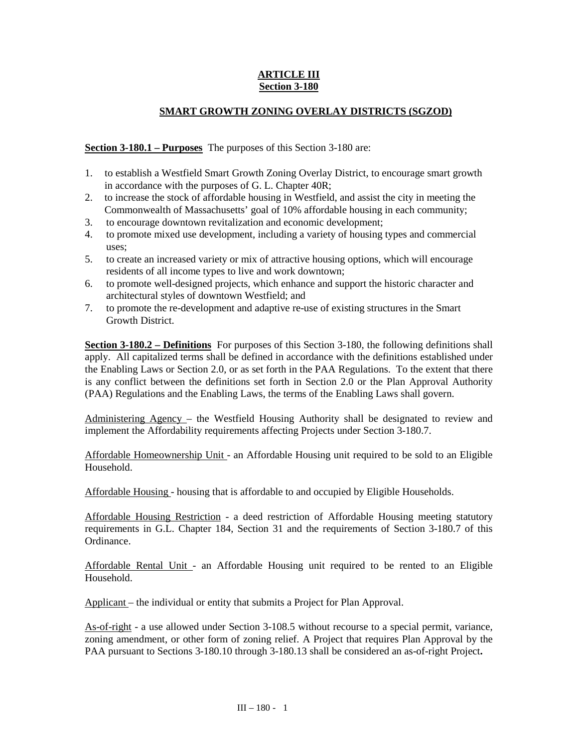# **ARTICLE III Section 3-180**

# **SMART GROWTH ZONING OVERLAY DISTRICTS (SGZOD)**

**Section 3-180.1 – Purposes** The purposes of this Section 3-180 are:

- 1. to establish a Westfield Smart Growth Zoning Overlay District, to encourage smart growth in accordance with the purposes of G. L. Chapter 40R;
- 2. to increase the stock of affordable housing in Westfield, and assist the city in meeting the Commonwealth of Massachusetts' goal of 10% affordable housing in each community;
- 3. to encourage downtown revitalization and economic development;
- 4. to promote mixed use development, including a variety of housing types and commercial uses;
- 5. to create an increased variety or mix of attractive housing options, which will encourage residents of all income types to live and work downtown;
- 6. to promote well-designed projects, which enhance and support the historic character and architectural styles of downtown Westfield; and
- 7. to promote the re-development and adaptive re-use of existing structures in the Smart Growth District.

**Section 3-180.2 – Definitions** For purposes of this Section 3-180, the following definitions shall apply. All capitalized terms shall be defined in accordance with the definitions established under the Enabling Laws or Section 2.0, or as set forth in the PAA Regulations. To the extent that there is any conflict between the definitions set forth in Section 2.0 or the Plan Approval Authority (PAA) Regulations and the Enabling Laws, the terms of the Enabling Laws shall govern.

Administering Agency – the Westfield Housing Authority shall be designated to review and implement the Affordability requirements affecting Projects under Section 3-180.7.

Affordable Homeownership Unit - an Affordable Housing unit required to be sold to an Eligible Household.

Affordable Housing - housing that is affordable to and occupied by Eligible Households.

Affordable Housing Restriction - a deed restriction of Affordable Housing meeting statutory requirements in G.L. Chapter 184, Section 31 and the requirements of Section 3-180.7 of this Ordinance.

Affordable Rental Unit - an Affordable Housing unit required to be rented to an Eligible Household.

Applicant – the individual or entity that submits a Project for Plan Approval.

As-of-right - a use allowed under Section 3-108.5 without recourse to a special permit, variance, zoning amendment, or other form of zoning relief. A Project that requires Plan Approval by the PAA pursuant to Sections 3-180.10 through 3-180.13 shall be considered an as-of-right Project**.**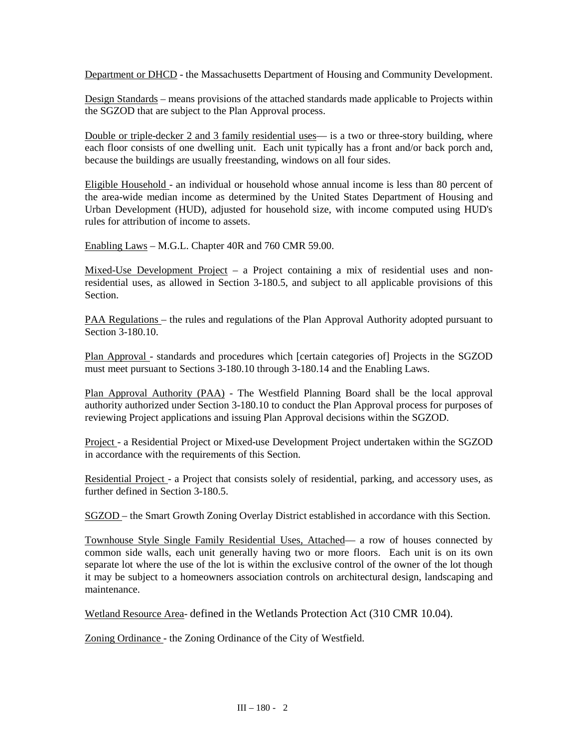Department or DHCD - the Massachusetts Department of Housing and Community Development.

Design Standards – means provisions of the attached standards made applicable to Projects within the SGZOD that are subject to the Plan Approval process.

Double or triple-decker 2 and 3 family residential uses— is a two or three-story building, where each floor consists of one dwelling unit. Each unit typically has a front and/or back porch and, because the buildings are usually freestanding, windows on all four sides.

Eligible Household - an individual or household whose annual income is less than 80 percent of the area-wide median income as determined by the United States Department of Housing and Urban Development (HUD), adjusted for household size, with income computed using HUD's rules for attribution of income to assets.

Enabling Laws – M.G.L. Chapter 40R and 760 CMR 59.00.

Mixed-Use Development Project – a Project containing a mix of residential uses and nonresidential uses, as allowed in Section 3-180.5, and subject to all applicable provisions of this Section.

PAA Regulations – the rules and regulations of the Plan Approval Authority adopted pursuant to Section 3-180.10.

Plan Approval - standards and procedures which [certain categories of] Projects in the SGZOD must meet pursuant to Sections 3-180.10 through 3-180.14 and the Enabling Laws.

Plan Approval Authority (PAA) - The Westfield Planning Board shall be the local approval authority authorized under Section 3-180.10 to conduct the Plan Approval process for purposes of reviewing Project applications and issuing Plan Approval decisions within the SGZOD.

Project - a Residential Project or Mixed-use Development Project undertaken within the SGZOD in accordance with the requirements of this Section.

Residential Project - a Project that consists solely of residential, parking, and accessory uses, as further defined in Section 3-180.5.

SGZOD – the Smart Growth Zoning Overlay District established in accordance with this Section.

Townhouse Style Single Family Residential Uses, Attached— a row of houses connected by common side walls, each unit generally having two or more floors. Each unit is on its own separate lot where the use of the lot is within the exclusive control of the owner of the lot though it may be subject to a homeowners association controls on architectural design, landscaping and maintenance.

Wetland Resource Area- defined in the Wetlands Protection Act (310 CMR 10.04).

Zoning Ordinance - the Zoning Ordinance of the City of Westfield.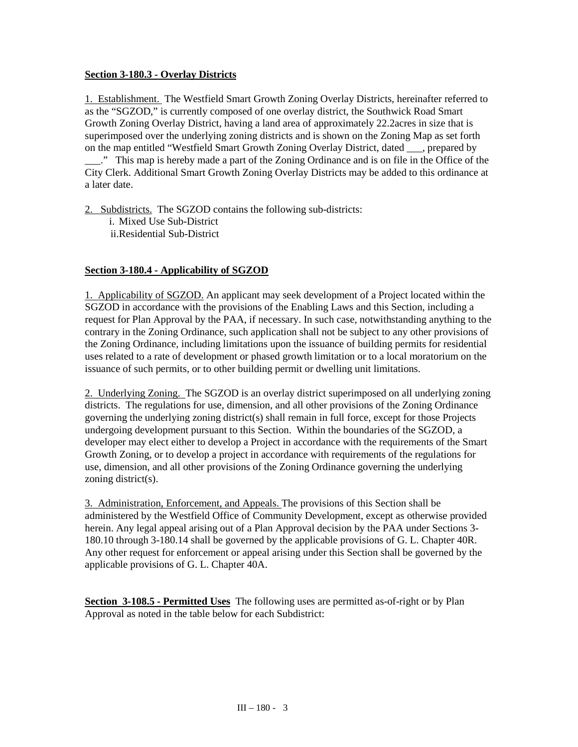# **Section 3-180.3 - Overlay Districts**

1. Establishment. The Westfield Smart Growth Zoning Overlay Districts, hereinafter referred to as the "SGZOD," is currently composed of one overlay district, the Southwick Road Smart Growth Zoning Overlay District, having a land area of approximately 22.2acres in size that is superimposed over the underlying zoning districts and is shown on the Zoning Map as set forth on the map entitled "Westfield Smart Growth Zoning Overlay District, dated \_\_\_, prepared by \_\_\_." This map is hereby made a part of the Zoning Ordinance and is on file in the Office of the

City Clerk. Additional Smart Growth Zoning Overlay Districts may be added to this ordinance at a later date.

2. Subdistricts. The SGZOD contains the following sub-districts:

i. Mixed Use Sub-District ii.Residential Sub-District

# **Section 3-180.4 - Applicability of SGZOD**

1. Applicability of SGZOD. An applicant may seek development of a Project located within the SGZOD in accordance with the provisions of the Enabling Laws and this Section, including a request for Plan Approval by the PAA, if necessary. In such case, notwithstanding anything to the contrary in the Zoning Ordinance, such application shall not be subject to any other provisions of the Zoning Ordinance, including limitations upon the issuance of building permits for residential uses related to a rate of development or phased growth limitation or to a local moratorium on the issuance of such permits, or to other building permit or dwelling unit limitations.

2. Underlying Zoning. The SGZOD is an overlay district superimposed on all underlying zoning districts. The regulations for use, dimension, and all other provisions of the Zoning Ordinance governing the underlying zoning district(s) shall remain in full force, except for those Projects undergoing development pursuant to this Section. Within the boundaries of the SGZOD, a developer may elect either to develop a Project in accordance with the requirements of the Smart Growth Zoning, or to develop a project in accordance with requirements of the regulations for use, dimension, and all other provisions of the Zoning Ordinance governing the underlying zoning district(s).

3. Administration, Enforcement, and Appeals. The provisions of this Section shall be administered by the Westfield Office of Community Development, except as otherwise provided herein. Any legal appeal arising out of a Plan Approval decision by the PAA under Sections 3- 180.10 through 3-180.14 shall be governed by the applicable provisions of G. L. Chapter 40R. Any other request for enforcement or appeal arising under this Section shall be governed by the applicable provisions of G. L. Chapter 40A.

**Section 3-108.5 - Permitted Uses** The following uses are permitted as-of-right or by Plan Approval as noted in the table below for each Subdistrict: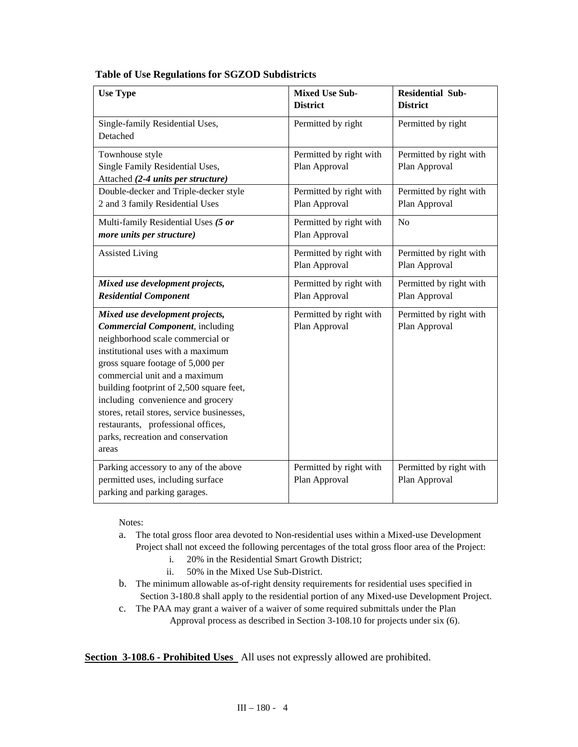| <b>Use Type</b>                                                                                                                                                                                                                                                                                                                                                                                                                               | <b>Mixed Use Sub-</b><br><b>District</b> | <b>Residential Sub-</b><br><b>District</b> |
|-----------------------------------------------------------------------------------------------------------------------------------------------------------------------------------------------------------------------------------------------------------------------------------------------------------------------------------------------------------------------------------------------------------------------------------------------|------------------------------------------|--------------------------------------------|
| Single-family Residential Uses,<br>Detached                                                                                                                                                                                                                                                                                                                                                                                                   | Permitted by right                       | Permitted by right                         |
| Townhouse style<br>Single Family Residential Uses,<br>Attached (2-4 units per structure)                                                                                                                                                                                                                                                                                                                                                      | Permitted by right with<br>Plan Approval | Permitted by right with<br>Plan Approval   |
| Double-decker and Triple-decker style<br>2 and 3 family Residential Uses                                                                                                                                                                                                                                                                                                                                                                      | Permitted by right with<br>Plan Approval | Permitted by right with<br>Plan Approval   |
| Multi-family Residential Uses (5 or<br>more units per structure)                                                                                                                                                                                                                                                                                                                                                                              | Permitted by right with<br>Plan Approval | N <sub>o</sub>                             |
| <b>Assisted Living</b>                                                                                                                                                                                                                                                                                                                                                                                                                        | Permitted by right with<br>Plan Approval | Permitted by right with<br>Plan Approval   |
| Mixed use development projects,<br><b>Residential Component</b>                                                                                                                                                                                                                                                                                                                                                                               | Permitted by right with<br>Plan Approval | Permitted by right with<br>Plan Approval   |
| Mixed use development projects,<br><b>Commercial Component</b> , including<br>neighborhood scale commercial or<br>institutional uses with a maximum<br>gross square footage of 5,000 per<br>commercial unit and a maximum<br>building footprint of 2,500 square feet,<br>including convenience and grocery<br>stores, retail stores, service businesses,<br>restaurants, professional offices,<br>parks, recreation and conservation<br>areas | Permitted by right with<br>Plan Approval | Permitted by right with<br>Plan Approval   |
| Parking accessory to any of the above<br>permitted uses, including surface<br>parking and parking garages.                                                                                                                                                                                                                                                                                                                                    | Permitted by right with<br>Plan Approval | Permitted by right with<br>Plan Approval   |

Notes:

- a. The total gross floor area devoted to Non-residential uses within a Mixed-use Development Project shall not exceed the following percentages of the total gross floor area of the Project:
	- i. 20% in the Residential Smart Growth District;
	- ii. 50% in the Mixed Use Sub-District.
- b. The minimum allowable as-of-right density requirements for residential uses specified in Section 3-180.8 shall apply to the residential portion of any Mixed-use Development Project.
- c. The PAA may grant a waiver of a waiver of some required submittals under the Plan Approval process as described in Section 3-108.10 for projects under six (6).

**Section 3-108.6 - Prohibited Uses** All uses not expressly allowed are prohibited.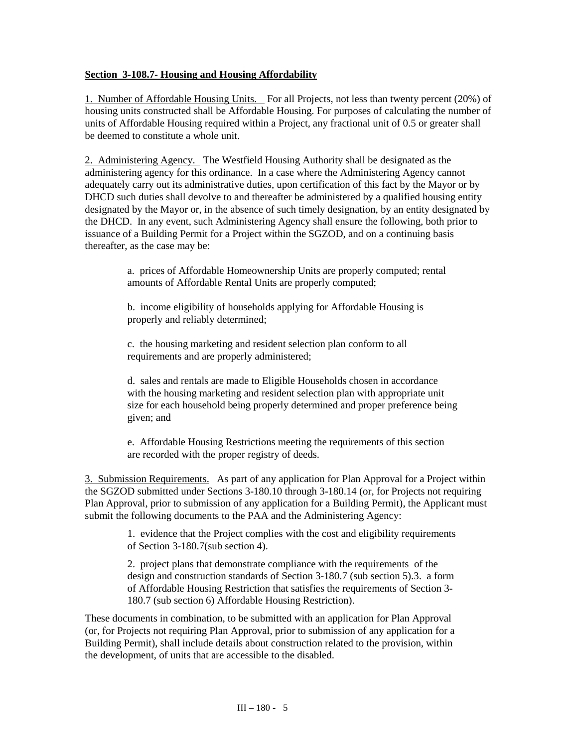### **Section 3-108.7- Housing and Housing Affordability**

1. Number of Affordable Housing Units. For all Projects, not less than twenty percent (20%) of housing units constructed shall be Affordable Housing. For purposes of calculating the number of units of Affordable Housing required within a Project, any fractional unit of 0.5 or greater shall be deemed to constitute a whole unit.

2. Administering Agency. The Westfield Housing Authority shall be designated as the administering agency for this ordinance. In a case where the Administering Agency cannot adequately carry out its administrative duties, upon certification of this fact by the Mayor or by DHCD such duties shall devolve to and thereafter be administered by a qualified housing entity designated by the Mayor or, in the absence of such timely designation, by an entity designated by the DHCD. In any event, such Administering Agency shall ensure the following, both prior to issuance of a Building Permit for a Project within the SGZOD, and on a continuing basis thereafter, as the case may be:

> a. prices of Affordable Homeownership Units are properly computed; rental amounts of Affordable Rental Units are properly computed;

b. income eligibility of households applying for Affordable Housing is properly and reliably determined;

c. the housing marketing and resident selection plan conform to all requirements and are properly administered;

d. sales and rentals are made to Eligible Households chosen in accordance with the housing marketing and resident selection plan with appropriate unit size for each household being properly determined and proper preference being given; and

e. Affordable Housing Restrictions meeting the requirements of this section are recorded with the proper registry of deeds.

3. Submission Requirements. As part of any application for Plan Approval for a Project within the SGZOD submitted under Sections 3-180.10 through 3-180.14 (or, for Projects not requiring Plan Approval, prior to submission of any application for a Building Permit), the Applicant must submit the following documents to the PAA and the Administering Agency:

> 1. evidence that the Project complies with the cost and eligibility requirements of Section 3-180.7(sub section 4).

> 2. project plans that demonstrate compliance with the requirements of the design and construction standards of Section 3-180.7 (sub section 5).3. a form of Affordable Housing Restriction that satisfies the requirements of Section 3- 180.7 (sub section 6) Affordable Housing Restriction).

These documents in combination, to be submitted with an application for Plan Approval (or, for Projects not requiring Plan Approval, prior to submission of any application for a Building Permit), shall include details about construction related to the provision, within the development, of units that are accessible to the disabled.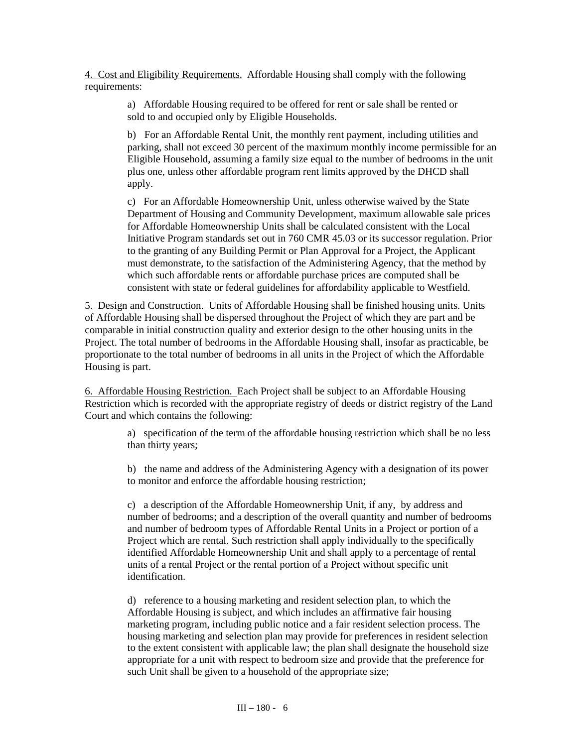4. Cost and Eligibility Requirements. Affordable Housing shall comply with the following requirements:

> a) Affordable Housing required to be offered for rent or sale shall be rented or sold to and occupied only by Eligible Households.

b) For an Affordable Rental Unit, the monthly rent payment, including utilities and parking, shall not exceed 30 percent of the maximum monthly income permissible for an Eligible Household, assuming a family size equal to the number of bedrooms in the unit plus one, unless other affordable program rent limits approved by the DHCD shall apply.

c) For an Affordable Homeownership Unit, unless otherwise waived by the State Department of Housing and Community Development, maximum allowable sale prices for Affordable Homeownership Units shall be calculated consistent with the Local Initiative Program standards set out in 760 CMR 45.03 or its successor regulation. Prior to the granting of any Building Permit or Plan Approval for a Project, the Applicant must demonstrate, to the satisfaction of the Administering Agency, that the method by which such affordable rents or affordable purchase prices are computed shall be consistent with state or federal guidelines for affordability applicable to Westfield.

5. Design and Construction. Units of Affordable Housing shall be finished housing units. Units of Affordable Housing shall be dispersed throughout the Project of which they are part and be comparable in initial construction quality and exterior design to the other housing units in the Project. The total number of bedrooms in the Affordable Housing shall, insofar as practicable, be proportionate to the total number of bedrooms in all units in the Project of which the Affordable Housing is part.

6. Affordable Housing Restriction. Each Project shall be subject to an Affordable Housing Restriction which is recorded with the appropriate registry of deeds or district registry of the Land Court and which contains the following:

> a) specification of the term of the affordable housing restriction which shall be no less than thirty years;

> b) the name and address of the Administering Agency with a designation of its power to monitor and enforce the affordable housing restriction;

> c) a description of the Affordable Homeownership Unit, if any, by address and number of bedrooms; and a description of the overall quantity and number of bedrooms and number of bedroom types of Affordable Rental Units in a Project or portion of a Project which are rental. Such restriction shall apply individually to the specifically identified Affordable Homeownership Unit and shall apply to a percentage of rental units of a rental Project or the rental portion of a Project without specific unit identification.

> d) reference to a housing marketing and resident selection plan, to which the Affordable Housing is subject, and which includes an affirmative fair housing marketing program, including public notice and a fair resident selection process. The housing marketing and selection plan may provide for preferences in resident selection to the extent consistent with applicable law; the plan shall designate the household size appropriate for a unit with respect to bedroom size and provide that the preference for such Unit shall be given to a household of the appropriate size;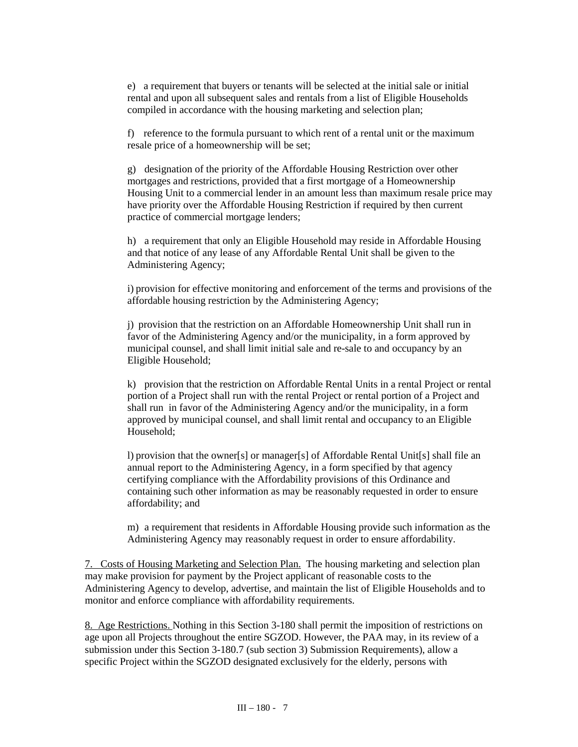e) a requirement that buyers or tenants will be selected at the initial sale or initial rental and upon all subsequent sales and rentals from a list of Eligible Households compiled in accordance with the housing marketing and selection plan;

f) reference to the formula pursuant to which rent of a rental unit or the maximum resale price of a homeownership will be set;

g) designation of the priority of the Affordable Housing Restriction over other mortgages and restrictions, provided that a first mortgage of a Homeownership Housing Unit to a commercial lender in an amount less than maximum resale price may have priority over the Affordable Housing Restriction if required by then current practice of commercial mortgage lenders;

h) a requirement that only an Eligible Household may reside in Affordable Housing and that notice of any lease of any Affordable Rental Unit shall be given to the Administering Agency;

i) provision for effective monitoring and enforcement of the terms and provisions of the affordable housing restriction by the Administering Agency;

j) provision that the restriction on an Affordable Homeownership Unit shall run in favor of the Administering Agency and/or the municipality, in a form approved by municipal counsel, and shall limit initial sale and re-sale to and occupancy by an Eligible Household;

k) provision that the restriction on Affordable Rental Units in a rental Project or rental portion of a Project shall run with the rental Project or rental portion of a Project and shall run in favor of the Administering Agency and/or the municipality, in a form approved by municipal counsel, and shall limit rental and occupancy to an Eligible Household;

l) provision that the owner[s] or manager[s] of Affordable Rental Unit[s] shall file an annual report to the Administering Agency, in a form specified by that agency certifying compliance with the Affordability provisions of this Ordinance and containing such other information as may be reasonably requested in order to ensure affordability; and

m) a requirement that residents in Affordable Housing provide such information as the Administering Agency may reasonably request in order to ensure affordability.

7. Costs of Housing Marketing and Selection Plan. The housing marketing and selection plan may make provision for payment by the Project applicant of reasonable costs to the Administering Agency to develop, advertise, and maintain the list of Eligible Households and to monitor and enforce compliance with affordability requirements.

8. Age Restrictions. Nothing in this Section 3-180 shall permit the imposition of restrictions on age upon all Projects throughout the entire SGZOD. However, the PAA may, in its review of a submission under this Section 3-180.7 (sub section 3) Submission Requirements), allow a specific Project within the SGZOD designated exclusively for the elderly, persons with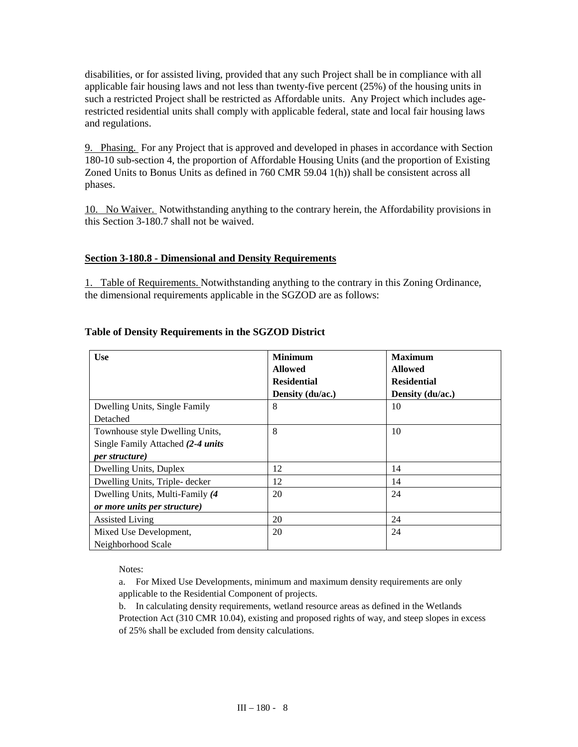disabilities, or for assisted living, provided that any such Project shall be in compliance with all applicable fair housing laws and not less than twenty-five percent (25%) of the housing units in such a restricted Project shall be restricted as Affordable units. Any Project which includes agerestricted residential units shall comply with applicable federal, state and local fair housing laws and regulations.

9. Phasing. For any Project that is approved and developed in phases in accordance with Section 180-10 sub-section 4, the proportion of Affordable Housing Units (and the proportion of Existing Zoned Units to Bonus Units as defined in 760 CMR 59.04 1(h)) shall be consistent across all phases.

10. No Waiver. Notwithstanding anything to the contrary herein, the Affordability provisions in this Section 3-180.7 shall not be waived.

#### **Section 3-180.8 - Dimensional and Density Requirements**

1. Table of Requirements. Notwithstanding anything to the contrary in this Zoning Ordinance, the dimensional requirements applicable in the SGZOD are as follows:

| <b>Use</b>                        | <b>Minimum</b>     | <b>Maximum</b>     |
|-----------------------------------|--------------------|--------------------|
|                                   | <b>Allowed</b>     | <b>Allowed</b>     |
|                                   | <b>Residential</b> | <b>Residential</b> |
|                                   | Density (du/ac.)   | Density (du/ac.)   |
| Dwelling Units, Single Family     | 8                  | 10                 |
| Detached                          |                    |                    |
| Townhouse style Dwelling Units,   | 8                  | 10                 |
| Single Family Attached (2-4 units |                    |                    |
| <i>per structure</i> )            |                    |                    |
| Dwelling Units, Duplex            | 12                 | 14                 |
| Dwelling Units, Triple- decker    | 12                 | 14                 |
| Dwelling Units, Multi-Family (4)  | 20                 | 24                 |
| or more units per structure)      |                    |                    |
| <b>Assisted Living</b>            | 20                 | 24                 |
| Mixed Use Development,            | 20                 | 24                 |
| Neighborhood Scale                |                    |                    |

# **Table of Density Requirements in the SGZOD District**

Notes:

a. For Mixed Use Developments, minimum and maximum density requirements are only applicable to the Residential Component of projects.

b. In calculating density requirements, wetland resource areas as defined in the Wetlands Protection Act (310 CMR 10.04), existing and proposed rights of way, and steep slopes in excess of 25% shall be excluded from density calculations.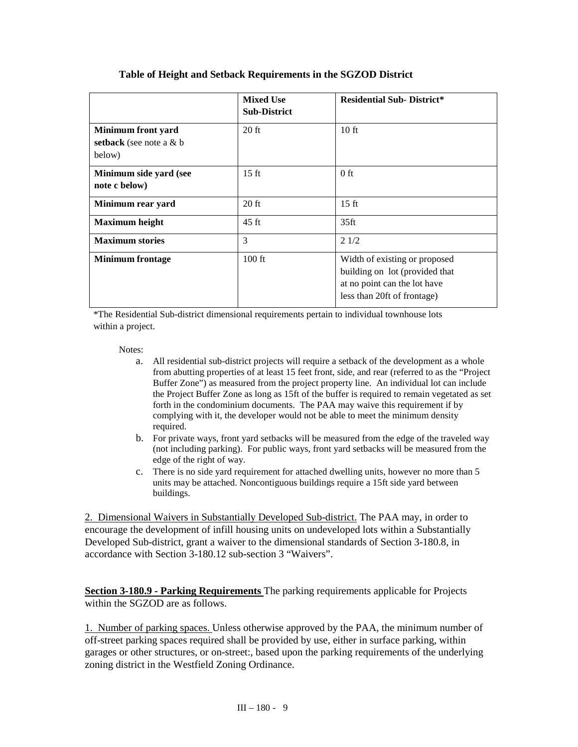|                                                           | <b>Mixed Use</b><br><b>Sub-District</b> | <b>Residential Sub-District*</b>                                                                                               |
|-----------------------------------------------------------|-----------------------------------------|--------------------------------------------------------------------------------------------------------------------------------|
| Minimum front yard<br>setback (see note a $&$ b<br>below) | $20$ ft                                 | 10 <sub>ft</sub>                                                                                                               |
| Minimum side yard (see<br>note c below)                   | $15 \text{ ft}$                         | $0$ ft                                                                                                                         |
| Minimum rear yard                                         | $20$ ft                                 | $15 \text{ ft}$                                                                                                                |
| <b>Maximum</b> height                                     | $45 \text{ ft}$                         | 35 <sub>ft</sub>                                                                                                               |
| <b>Maximum stories</b>                                    | 3                                       | 21/2                                                                                                                           |
| <b>Minimum</b> frontage                                   | $100$ ft                                | Width of existing or proposed<br>building on lot (provided that<br>at no point can the lot have<br>less than 20ft of frontage) |

# **Table of Height and Setback Requirements in the SGZOD District**

\*The Residential Sub-district dimensional requirements pertain to individual townhouse lots within a project.

#### Notes:

- a. All residential sub-district projects will require a setback of the development as a whole from abutting properties of at least 15 feet front, side, and rear (referred to as the "Project Buffer Zone") as measured from the project property line. An individual lot can include the Project Buffer Zone as long as 15ft of the buffer is required to remain vegetated as set forth in the condominium documents. The PAA may waive this requirement if by complying with it, the developer would not be able to meet the minimum density required.
- b. For private ways, front yard setbacks will be measured from the edge of the traveled way (not including parking). For public ways, front yard setbacks will be measured from the edge of the right of way.
- c. There is no side yard requirement for attached dwelling units, however no more than 5 units may be attached. Noncontiguous buildings require a 15ft side yard between buildings.

2. Dimensional Waivers in Substantially Developed Sub-district. The PAA may, in order to encourage the development of infill housing units on undeveloped lots within a Substantially Developed Sub-district, grant a waiver to the dimensional standards of Section 3-180.8, in accordance with Section 3-180.12 sub-section 3 "Waivers".

**Section 3-180.9 - Parking Requirements** The parking requirements applicable for Projects within the SGZOD are as follows.

1. Number of parking spaces. Unless otherwise approved by the PAA, the minimum number of off-street parking spaces required shall be provided by use, either in surface parking, within garages or other structures, or on-street:, based upon the parking requirements of the underlying zoning district in the Westfield Zoning Ordinance.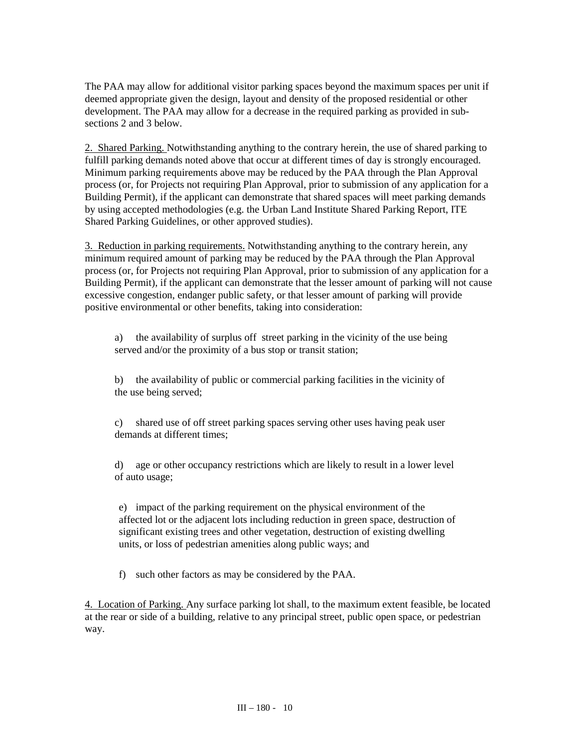The PAA may allow for additional visitor parking spaces beyond the maximum spaces per unit if deemed appropriate given the design, layout and density of the proposed residential or other development. The PAA may allow for a decrease in the required parking as provided in subsections 2 and 3 below.

2. Shared Parking. Notwithstanding anything to the contrary herein, the use of shared parking to fulfill parking demands noted above that occur at different times of day is strongly encouraged. Minimum parking requirements above may be reduced by the PAA through the Plan Approval process (or, for Projects not requiring Plan Approval, prior to submission of any application for a Building Permit), if the applicant can demonstrate that shared spaces will meet parking demands by using accepted methodologies (e.g. the Urban Land Institute Shared Parking Report, ITE Shared Parking Guidelines, or other approved studies).

3. Reduction in parking requirements. Notwithstanding anything to the contrary herein, any minimum required amount of parking may be reduced by the PAA through the Plan Approval process (or, for Projects not requiring Plan Approval, prior to submission of any application for a Building Permit), if the applicant can demonstrate that the lesser amount of parking will not cause excessive congestion, endanger public safety, or that lesser amount of parking will provide positive environmental or other benefits, taking into consideration:

a) the availability of surplus off street parking in the vicinity of the use being served and/or the proximity of a bus stop or transit station;

b) the availability of public or commercial parking facilities in the vicinity of the use being served;

c) shared use of off street parking spaces serving other uses having peak user demands at different times;

d) age or other occupancy restrictions which are likely to result in a lower level of auto usage;

e) impact of the parking requirement on the physical environment of the affected lot or the adjacent lots including reduction in green space, destruction of significant existing trees and other vegetation, destruction of existing dwelling units, or loss of pedestrian amenities along public ways; and

f) such other factors as may be considered by the PAA.

4. Location of Parking. Any surface parking lot shall, to the maximum extent feasible, be located at the rear or side of a building, relative to any principal street, public open space, or pedestrian way.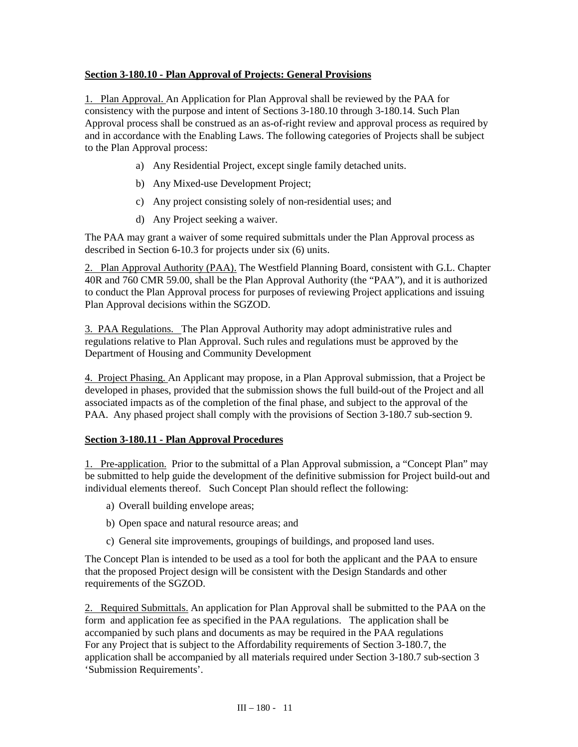## **Section 3-180.10 - Plan Approval of Projects: General Provisions**

1. Plan Approval. An Application for Plan Approval shall be reviewed by the PAA for consistency with the purpose and intent of Sections 3-180.10 through 3-180.14. Such Plan Approval process shall be construed as an as-of-right review and approval process as required by and in accordance with the Enabling Laws. The following categories of Projects shall be subject to the Plan Approval process:

- a) Any Residential Project, except single family detached units.
- b) Any Mixed-use Development Project;
- c) Any project consisting solely of non-residential uses; and
- d) Any Project seeking a waiver.

The PAA may grant a waiver of some required submittals under the Plan Approval process as described in Section 6-10.3 for projects under six (6) units.

2. Plan Approval Authority (PAA). The Westfield Planning Board, consistent with G.L. Chapter 40R and 760 CMR 59.00, shall be the Plan Approval Authority (the "PAA"), and it is authorized to conduct the Plan Approval process for purposes of reviewing Project applications and issuing Plan Approval decisions within the SGZOD.

3. PAA Regulations. The Plan Approval Authority may adopt administrative rules and regulations relative to Plan Approval. Such rules and regulations must be approved by the Department of Housing and Community Development

4. Project Phasing. An Applicant may propose, in a Plan Approval submission, that a Project be developed in phases, provided that the submission shows the full build-out of the Project and all associated impacts as of the completion of the final phase, and subject to the approval of the PAA. Any phased project shall comply with the provisions of Section 3-180.7 sub-section 9.

#### **Section 3-180.11 - Plan Approval Procedures**

1. Pre-application. Prior to the submittal of a Plan Approval submission, a "Concept Plan" may be submitted to help guide the development of the definitive submission for Project build-out and individual elements thereof. Such Concept Plan should reflect the following:

- a) Overall building envelope areas;
- b) Open space and natural resource areas; and
- c) General site improvements, groupings of buildings, and proposed land uses.

The Concept Plan is intended to be used as a tool for both the applicant and the PAA to ensure that the proposed Project design will be consistent with the Design Standards and other requirements of the SGZOD.

2. Required Submittals. An application for Plan Approval shall be submitted to the PAA on the For any Project that is subject to the Affordability requirements of Section 3-180.7, the application shall be accompanied by all materials required under Section 3-180.7 sub-section 3 'Submission Requirements'. form and application fee as specified in the PAA regulations. The application shall be accompanied by such plans and documents as may be required in the PAA regulations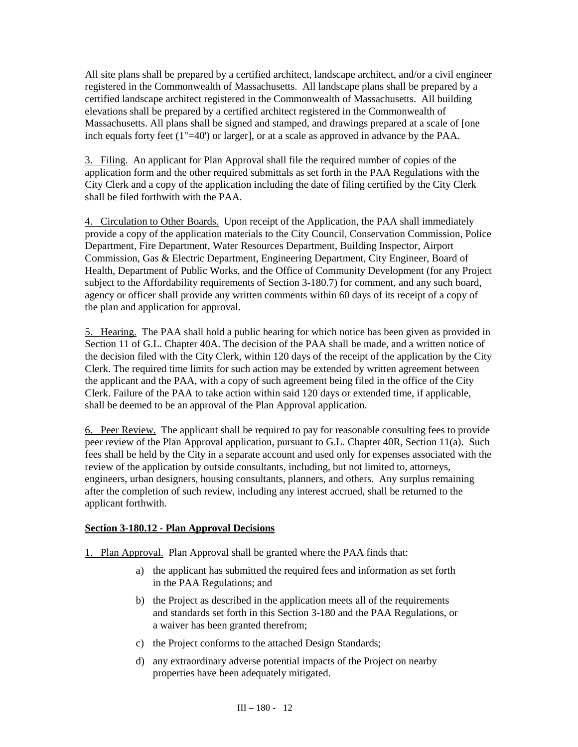All site plans shall be prepared by a certified architect, landscape architect, and/or a civil engineer registered in the Commonwealth of Massachusetts. All landscape plans shall be prepared by a certified landscape architect registered in the Commonwealth of Massachusetts. All building elevations shall be prepared by a certified architect registered in the Commonwealth of Massachusetts. All plans shall be signed and stamped, and drawings prepared at a scale of [one inch equals forty feet (1"=40') or larger], or at a scale as approved in advance by the PAA.

3. Filing. An applicant for Plan Approval shall file the required number of copies of the application form and the other required submittals as set forth in the PAA Regulations with the City Clerk and a copy of the application including the date of filing certified by the City Clerk shall be filed forthwith with the PAA.

4. Circulation to Other Boards. Upon receipt of the Application, the PAA shall immediately provide a copy of the application materials to the City Council, Conservation Commission, Police Department, Fire Department, Water Resources Department, Building Inspector, Airport Commission, Gas & Electric Department, Engineering Department, City Engineer, Board of Health, Department of Public Works, and the Office of Community Development (for any Project subject to the Affordability requirements of Section 3-180.7) for comment, and any such board, agency or officer shall provide any written comments within 60 days of its receipt of a copy of the plan and application for approval.

5. Hearing.The PAA shall hold a public hearing for which notice has been given as provided in Section 11 of G.L. Chapter 40A. The decision of the PAA shall be made, and a written notice of the decision filed with the City Clerk, within 120 days of the receipt of the application by the City Clerk. The required time limits for such action may be extended by written agreement between the applicant and the PAA, with a copy of such agreement being filed in the office of the City Clerk. Failure of the PAA to take action within said 120 days or extended time, if applicable, shall be deemed to be an approval of the Plan Approval application.

6. Peer Review. The applicant shall be required to pay for reasonable consulting fees to provide peer review of the Plan Approval application, pursuant to G.L. Chapter 40R, Section 11(a). Such fees shall be held by the City in a separate account and used only for expenses associated with the review of the application by outside consultants, including, but not limited to, attorneys, engineers, urban designers, housing consultants, planners, and others. Any surplus remaining after the completion of such review, including any interest accrued, shall be returned to the applicant forthwith.

#### **Section 3-180.12 - Plan Approval Decisions**

1. Plan Approval. Plan Approval shall be granted where the PAA finds that:

- a) the applicant has submitted the required fees and information as set forth in the PAA Regulations; and
- b) the Project as described in the application meets all of the requirements and standards set forth in this Section 3-180 and the PAA Regulations, or a waiver has been granted therefrom;
- c) the Project conforms to the attached Design Standards;
- d) any extraordinary adverse potential impacts of the Project on nearby properties have been adequately mitigated.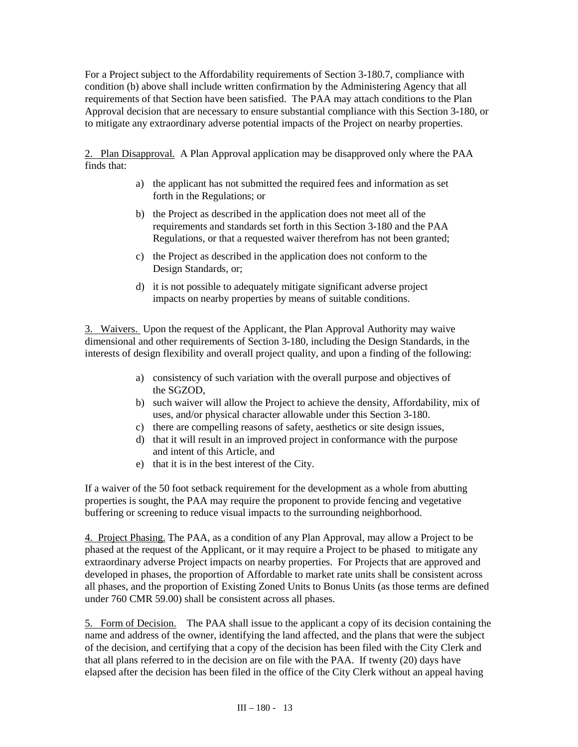For a Project subject to the Affordability requirements of Section 3-180.7, compliance with condition (b) above shall include written confirmation by the Administering Agency that all requirements of that Section have been satisfied. The PAA may attach conditions to the Plan Approval decision that are necessary to ensure substantial compliance with this Section 3-180, or to mitigate any extraordinary adverse potential impacts of the Project on nearby properties.

2. Plan Disapproval. A Plan Approval application may be disapproved only where the PAA finds that:

- a) the applicant has not submitted the required fees and information as set forth in the Regulations; or
- b) the Project as described in the application does not meet all of the requirements and standards set forth in this Section 3-180 and the PAA Regulations, or that a requested waiver therefrom has not been granted;
- c) the Project as described in the application does not conform to the Design Standards, or;
- d) it is not possible to adequately mitigate significant adverse project impacts on nearby properties by means of suitable conditions.

3. Waivers. Upon the request of the Applicant, the Plan Approval Authority may waive dimensional and other requirements of Section 3-180, including the Design Standards, in the interests of design flexibility and overall project quality, and upon a finding of the following:

- a) consistency of such variation with the overall purpose and objectives of the SGZOD,
- b) such waiver will allow the Project to achieve the density, Affordability, mix of uses, and/or physical character allowable under this Section 3-180.
- c) there are compelling reasons of safety, aesthetics or site design issues,
- d) that it will result in an improved project in conformance with the purpose and intent of this Article, and
- e) that it is in the best interest of the City.

If a waiver of the 50 foot setback requirement for the development as a whole from abutting properties is sought, the PAA may require the proponent to provide fencing and vegetative buffering or screening to reduce visual impacts to the surrounding neighborhood.

4. Project Phasing. The PAA, as a condition of any Plan Approval, may allow a Project to be phased at the request of the Applicant, or it may require a Project to be phased to mitigate any extraordinary adverse Project impacts on nearby properties. For Projects that are approved and developed in phases, the proportion of Affordable to market rate units shall be consistent across all phases, and the proportion of Existing Zoned Units to Bonus Units (as those terms are defined under 760 CMR 59.00) shall be consistent across all phases.

5. Form of Decision. The PAA shall issue to the applicant a copy of its decision containing the name and address of the owner, identifying the land affected, and the plans that were the subject of the decision, and certifying that a copy of the decision has been filed with the City Clerk and that all plans referred to in the decision are on file with the PAA. If twenty (20) days have elapsed after the decision has been filed in the office of the City Clerk without an appeal having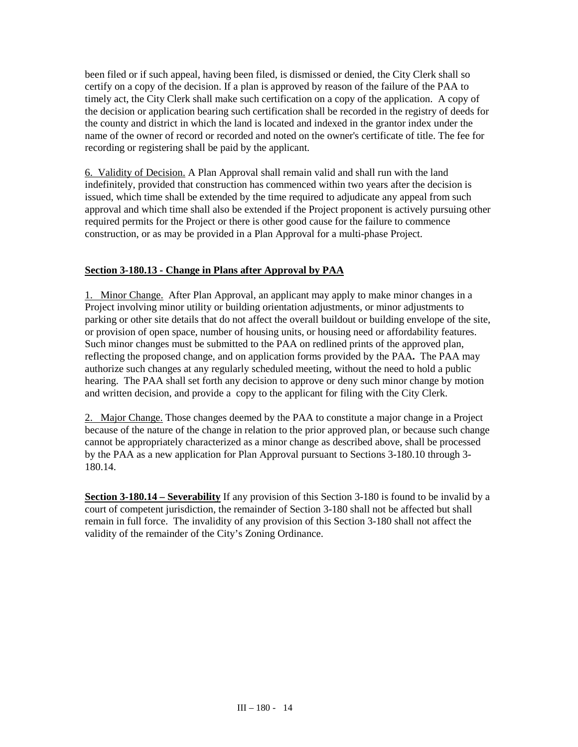been filed or if such appeal, having been filed, is dismissed or denied, the City Clerk shall so certify on a copy of the decision. If a plan is approved by reason of the failure of the PAA to timely act, the City Clerk shall make such certification on a copy of the application. A copy of the decision or application bearing such certification shall be recorded in the registry of deeds for the county and district in which the land is located and indexed in the grantor index under the name of the owner of record or recorded and noted on the owner's certificate of title. The fee for recording or registering shall be paid by the applicant.

6. Validity of Decision. A Plan Approval shall remain valid and shall run with the land indefinitely, provided that construction has commenced within two years after the decision is issued, which time shall be extended by the time required to adjudicate any appeal from such approval and which time shall also be extended if the Project proponent is actively pursuing other required permits for the Project or there is other good cause for the failure to commence construction, or as may be provided in a Plan Approval for a multi-phase Project.

# **Section 3-180.13 - Change in Plans after Approval by PAA**

1. Minor Change. After Plan Approval, an applicant may apply to make minor changes in a Project involving minor utility or building orientation adjustments, or minor adjustments to parking or other site details that do not affect the overall buildout or building envelope of the site, or provision of open space, number of housing units, or housing need or affordability features. Such minor changes must be submitted to the PAA on redlined prints of the approved plan, reflecting the proposed change, and on application forms provided by the PAA**.** The PAA may authorize such changes at any regularly scheduled meeting, without the need to hold a public hearing. The PAA shall set forth any decision to approve or deny such minor change by motion and written decision, and provide a copy to the applicant for filing with the City Clerk.

2. Major Change. Those changes deemed by the PAA to constitute a major change in a Project because of the nature of the change in relation to the prior approved plan, or because such change cannot be appropriately characterized as a minor change as described above, shall be processed by the PAA as a new application for Plan Approval pursuant to Sections 3-180.10 through 3- 180.14.

**Section 3-180.14 – Severability** If any provision of this Section 3-180 is found to be invalid by a court of competent jurisdiction, the remainder of Section 3-180 shall not be affected but shall remain in full force. The invalidity of any provision of this Section 3-180 shall not affect the validity of the remainder of the City's Zoning Ordinance.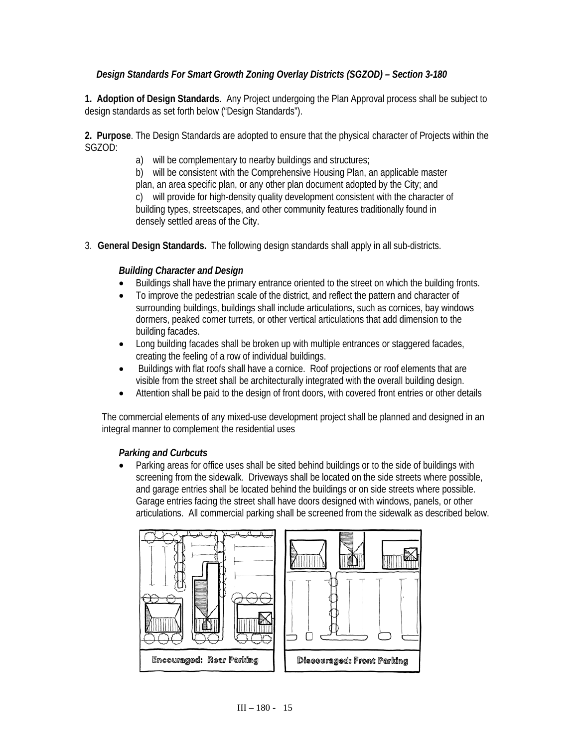# *Design Standards For Smart Growth Zoning Overlay Districts (SGZOD) – Section 3-180*

**1. Adoption of Design Standards**. Any Project undergoing the Plan Approval process shall be subject to design standards as set forth below ("Design Standards").

**2. Purpose**. The Design Standards are adopted to ensure that the physical character of Projects within the SGZOD:

a) will be complementary to nearby buildings and structures;

b) will be consistent with the Comprehensive Housing Plan, an applicable master plan, an area specific plan, or any other plan document adopted by the City; and c) will provide for high-density quality development consistent with the character of building types, streetscapes, and other community features traditionally found in densely settled areas of the City.

3. **General Design Standards.** The following design standards shall apply in all sub-districts.

# *Building Character and Design*

- Buildings shall have the primary entrance oriented to the street on which the building fronts.
- To improve the pedestrian scale of the district, and reflect the pattern and character of surrounding buildings, buildings shall include articulations, such as cornices, bay windows dormers, peaked corner turrets, or other vertical articulations that add dimension to the building facades.
- Long building facades shall be broken up with multiple entrances or staggered facades, creating the feeling of a row of individual buildings.
- Buildings with flat roofs shall have a cornice. Roof projections or roof elements that are visible from the street shall be architecturally integrated with the overall building design.
- Attention shall be paid to the design of front doors, with covered front entries or other details

The commercial elements of any mixed-use development project shall be planned and designed in an integral manner to complement the residential uses

#### *Parking and Curbcuts*

• Parking areas for office uses shall be sited behind buildings or to the side of buildings with screening from the sidewalk. Driveways shall be located on the side streets where possible, and garage entries shall be located behind the buildings or on side streets where possible. Garage entries facing the street shall have doors designed with windows, panels, or other articulations. All commercial parking shall be screened from the sidewalk as described below.